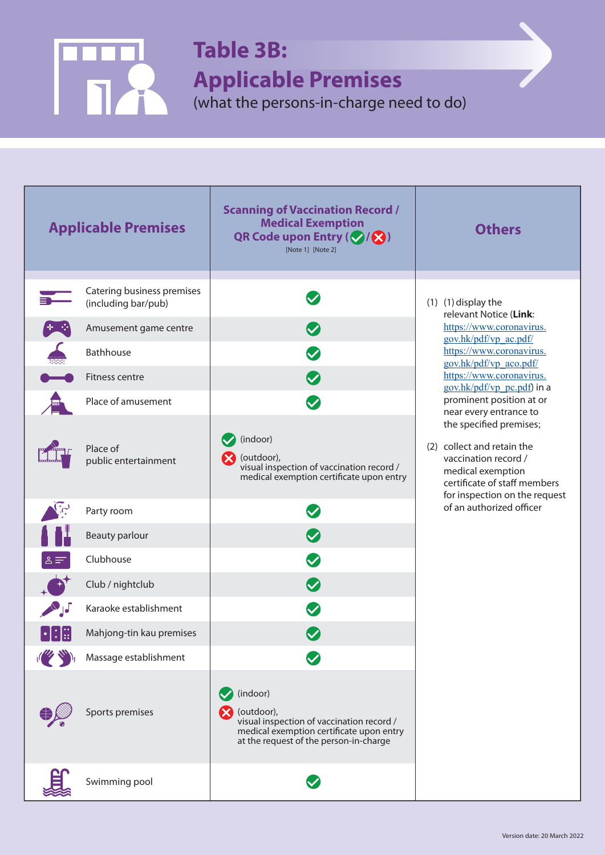

## **Table 3B:**

**Applicable Premises** 

(what the persons-in-charge need to do)